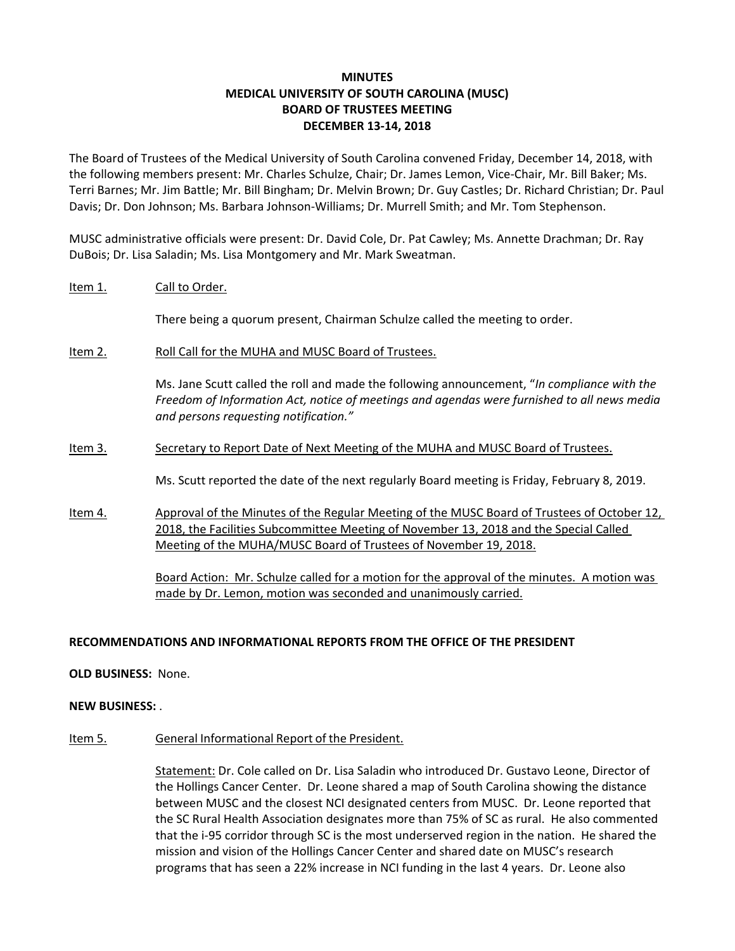## **MINUTES MEDICAL UNIVERSITY OF SOUTH CAROLINA (MUSC) BOARD OF TRUSTEES MEETING DECEMBER 13‐14, 2018**

The Board of Trustees of the Medical University of South Carolina convened Friday, December 14, 2018, with the following members present: Mr. Charles Schulze, Chair; Dr. James Lemon, Vice‐Chair, Mr. Bill Baker; Ms. Terri Barnes; Mr. Jim Battle; Mr. Bill Bingham; Dr. Melvin Brown; Dr. Guy Castles; Dr. Richard Christian; Dr. Paul Davis; Dr. Don Johnson; Ms. Barbara Johnson‐Williams; Dr. Murrell Smith; and Mr. Tom Stephenson.

MUSC administrative officials were present: Dr. David Cole, Dr. Pat Cawley; Ms. Annette Drachman; Dr. Ray DuBois; Dr. Lisa Saladin; Ms. Lisa Montgomery and Mr. Mark Sweatman.

## Item 1. Call to Order.

There being a quorum present, Chairman Schulze called the meeting to order.

Item 2. Roll Call for the MUHA and MUSC Board of Trustees.

Ms. Jane Scutt called the roll and made the following announcement, "*In compliance with the Freedom of Information Act, notice of meetings and agendas were furnished to all news media and persons requesting notification."*

Item 3. Secretary to Report Date of Next Meeting of the MUHA and MUSC Board of Trustees.

Ms. Scutt reported the date of the next regularly Board meeting is Friday, February 8, 2019.

Item 4. Approval of the Minutes of the Regular Meeting of the MUSC Board of Trustees of October 12, 2018, the Facilities Subcommittee Meeting of November 13, 2018 and the Special Called Meeting of the MUHA/MUSC Board of Trustees of November 19, 2018.

> Board Action: Mr. Schulze called for a motion for the approval of the minutes. A motion was made by Dr. Lemon, motion was seconded and unanimously carried.

## **RECOMMENDATIONS AND INFORMATIONAL REPORTS FROM THE OFFICE OF THE PRESIDENT**

**OLD BUSINESS:** None.

#### **NEW BUSINESS:** .

Item 5. General Informational Report of the President.

Statement: Dr. Cole called on Dr. Lisa Saladin who introduced Dr. Gustavo Leone, Director of the Hollings Cancer Center. Dr. Leone shared a map of South Carolina showing the distance between MUSC and the closest NCI designated centers from MUSC. Dr. Leone reported that the SC Rural Health Association designates more than 75% of SC as rural. He also commented that the i‐95 corridor through SC is the most underserved region in the nation. He shared the mission and vision of the Hollings Cancer Center and shared date on MUSC's research programs that has seen a 22% increase in NCI funding in the last 4 years. Dr. Leone also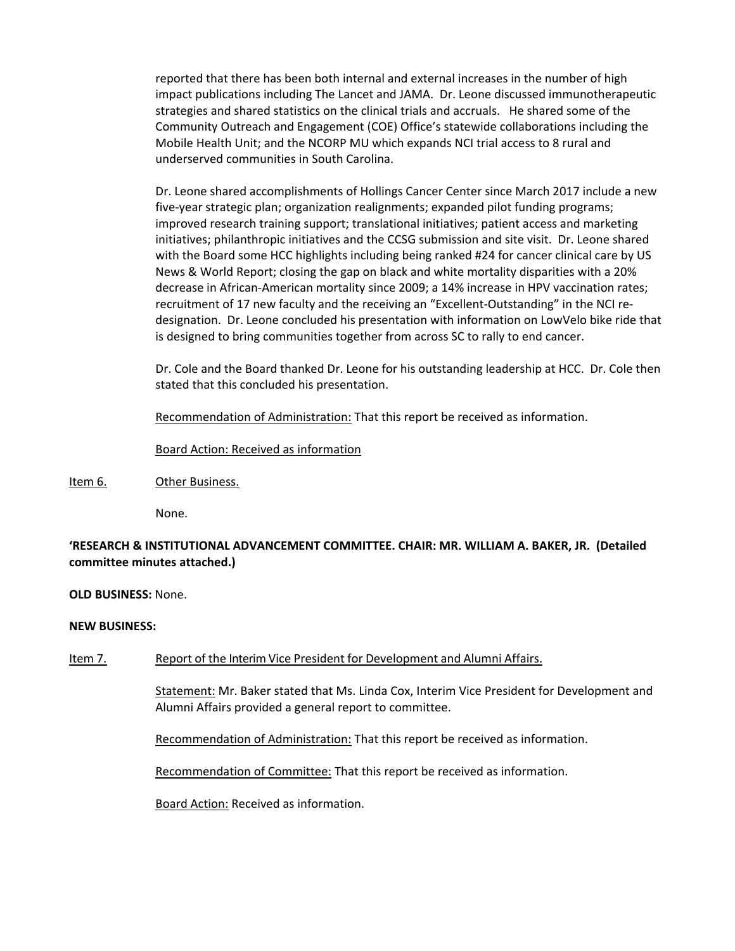reported that there has been both internal and external increases in the number of high impact publications including The Lancet and JAMA. Dr. Leone discussed immunotherapeutic strategies and shared statistics on the clinical trials and accruals. He shared some of the Community Outreach and Engagement (COE) Office's statewide collaborations including the Mobile Health Unit; and the NCORP MU which expands NCI trial access to 8 rural and underserved communities in South Carolina.

Dr. Leone shared accomplishments of Hollings Cancer Center since March 2017 include a new five‐year strategic plan; organization realignments; expanded pilot funding programs; improved research training support; translational initiatives; patient access and marketing initiatives; philanthropic initiatives and the CCSG submission and site visit. Dr. Leone shared with the Board some HCC highlights including being ranked #24 for cancer clinical care by US News & World Report; closing the gap on black and white mortality disparities with a 20% decrease in African‐American mortality since 2009; a 14% increase in HPV vaccination rates; recruitment of 17 new faculty and the receiving an "Excellent‐Outstanding" in the NCI re‐ designation. Dr. Leone concluded his presentation with information on LowVelo bike ride that is designed to bring communities together from across SC to rally to end cancer.

Dr. Cole and the Board thanked Dr. Leone for his outstanding leadership at HCC. Dr. Cole then stated that this concluded his presentation.

Recommendation of Administration: That this report be received as information.

Board Action: Received as information

## Item 6. Other Business.

 None.

## **'RESEARCH & INSTITUTIONAL ADVANCEMENT COMMITTEE. CHAIR: MR. WILLIAM A. BAKER, JR. (Detailed committee minutes attached.)**

#### **OLD BUSINESS:** None.

## **NEW BUSINESS:**

## Item 7. Report of the Interim Vice President for Development and Alumni Affairs.

Statement: Mr. Baker stated that Ms. Linda Cox, Interim Vice President for Development and Alumni Affairs provided a general report to committee.

Recommendation of Administration: That this report be received as information.

Recommendation of Committee: That this report be received as information.

Board Action: Received as information.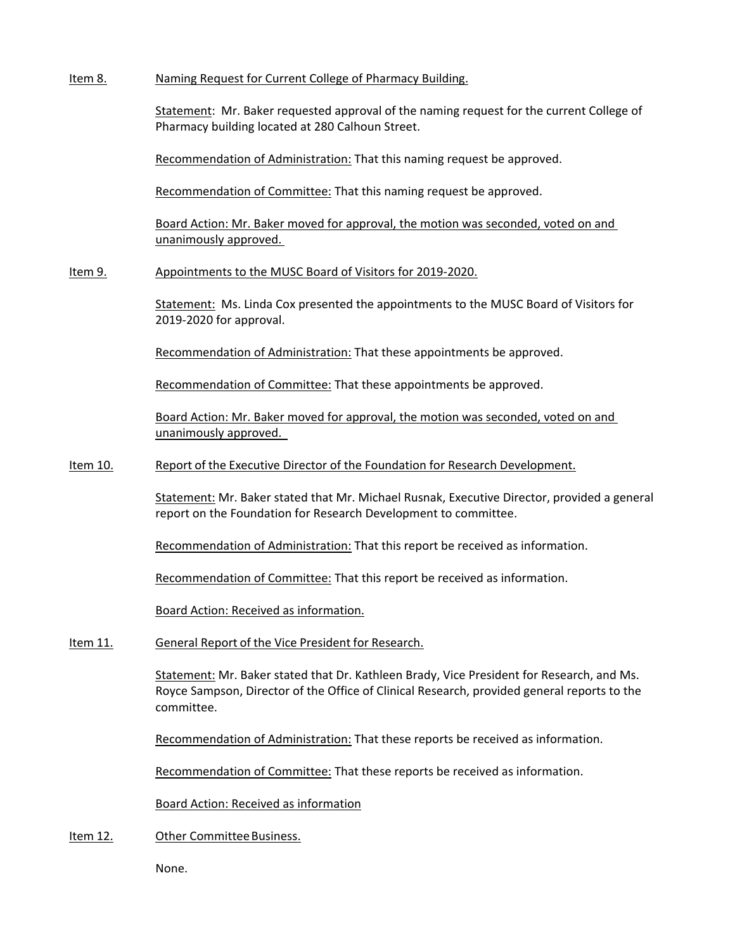Item 8. Naming Request for Current College of Pharmacy Building.

Statement: Mr. Baker requested approval of the naming request for the current College of Pharmacy building located at 280 Calhoun Street.

Recommendation of Administration: That this naming request be approved.

Recommendation of Committee: That this naming request be approved.

Board Action: Mr. Baker moved for approval, the motion was seconded, voted on and unanimously approved.

Item 9. Appointments to the MUSC Board of Visitors for 2019‐2020.

Statement: Ms. Linda Cox presented the appointments to the MUSC Board of Visitors for 2019‐2020 for approval.

Recommendation of Administration: That these appointments be approved.

Recommendation of Committee: That these appointments be approved.

Board Action: Mr. Baker moved for approval, the motion was seconded, voted on and unanimously approved.

Item 10. Report of the Executive Director of the Foundation for Research Development.

Statement: Mr. Baker stated that Mr. Michael Rusnak, Executive Director, provided a general report on the Foundation for Research Development to committee.

Recommendation of Administration: That this report be received as information.

Recommendation of Committee: That this report be received as information.

Board Action: Received as information.

Item 11. General Report of the Vice President for Research.

Statement: Mr. Baker stated that Dr. Kathleen Brady, Vice President for Research, and Ms. Royce Sampson, Director of the Office of Clinical Research, provided general reports to the committee.

Recommendation of Administration: That these reports be received as information.

Recommendation of Committee: That these reports be received as information.

Board Action: Received as information

Item 12. Other Committee Business.

 None.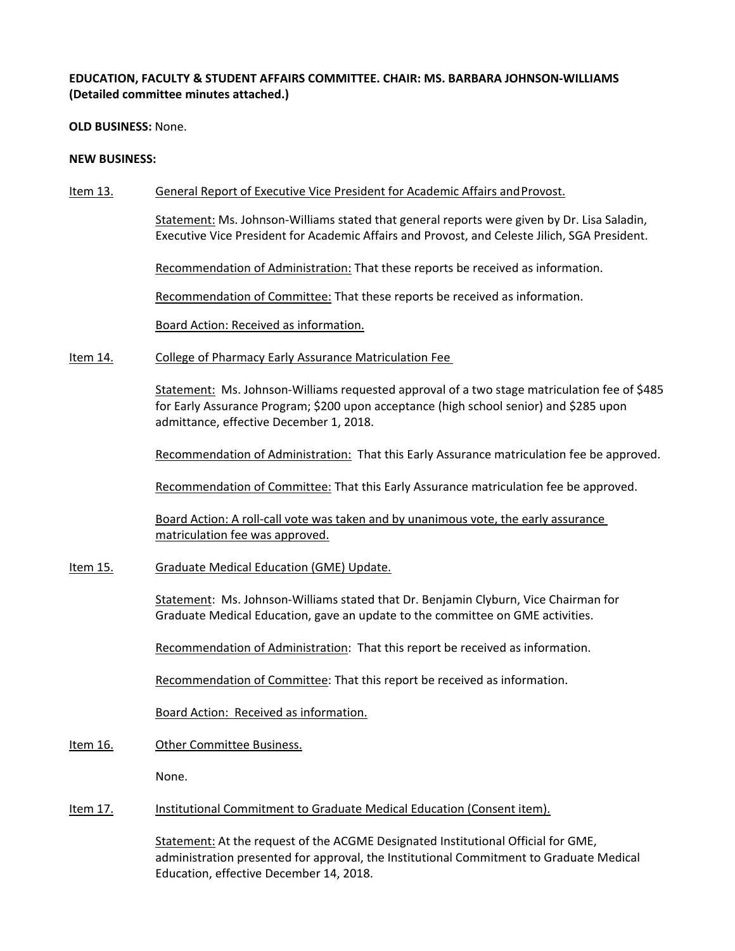## **EDUCATION, FACULTY & STUDENT AFFAIRS COMMITTEE. CHAIR: MS. BARBARA JOHNSON‐WILLIAMS (Detailed committee minutes attached.)**

**OLD BUSINESS:** None.

#### **NEW BUSINESS:**

Item 13. General Report of Executive Vice President for Academic Affairs and Provost.

Statement: Ms. Johnson‐Williams stated that general reports were given by Dr. Lisa Saladin, Executive Vice President for Academic Affairs and Provost, and Celeste Jilich, SGA President.

Recommendation of Administration: That these reports be received as information.

Recommendation of Committee: That these reports be received as information.

Board Action: Received as information.

Item 14. College of Pharmacy Early Assurance Matriculation Fee

Statement: Ms. Johnson‐Williams requested approval of a two stage matriculation fee of \$485 for Early Assurance Program; \$200 upon acceptance (high school senior) and \$285 upon admittance, effective December 1, 2018.

Recommendation of Administration: That this Early Assurance matriculation fee be approved.

Recommendation of Committee: That this Early Assurance matriculation fee be approved.

Board Action: A roll-call vote was taken and by unanimous vote, the early assurance matriculation fee was approved.

Item 15. Graduate Medical Education (GME) Update.

Statement: Ms. Johnson‐Williams stated that Dr. Benjamin Clyburn, Vice Chairman for Graduate Medical Education, gave an update to the committee on GME activities.

Recommendation of Administration: That this report be received as information.

Recommendation of Committee: That this report be received as information.

Board Action: Received as information.

## Item 16. Other Committee Business.

None.

## Item 17. Institutional Commitment to Graduate Medical Education (Consent item).

Statement: At the request of the ACGME Designated Institutional Official for GME, administration presented for approval, the Institutional Commitment to Graduate Medical Education, effective December 14, 2018.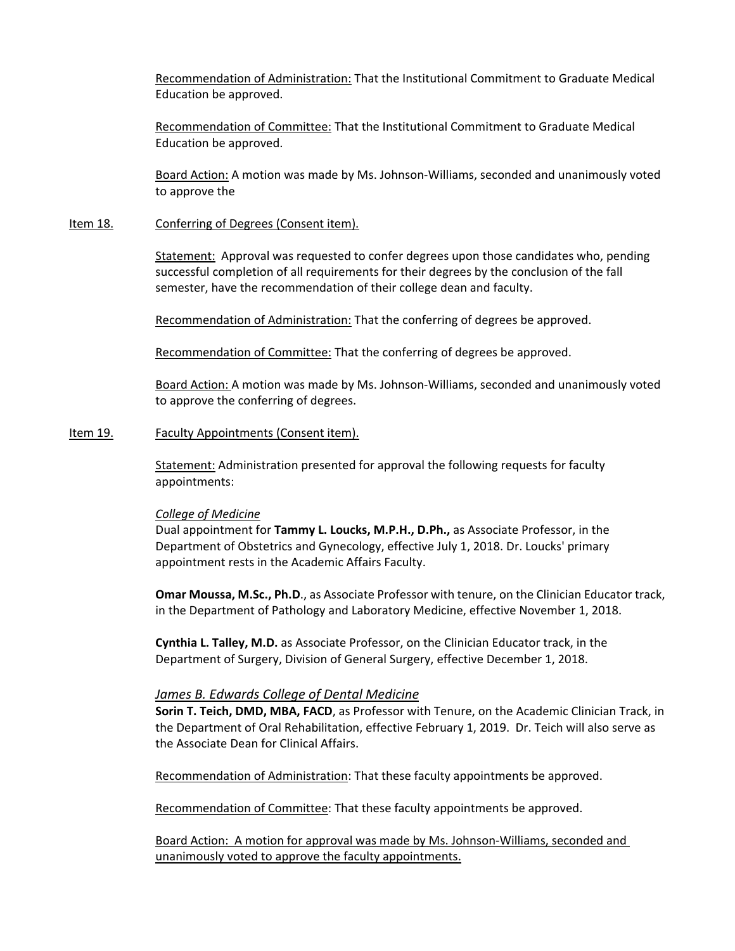Recommendation of Administration: That the Institutional Commitment to Graduate Medical Education be approved.

Recommendation of Committee: That the Institutional Commitment to Graduate Medical Education be approved.

Board Action: A motion was made by Ms. Johnson‐Williams, seconded and unanimously voted to approve the

#### Item 18. Conferring of Degrees (Consent item).

Statement: Approval was requested to confer degrees upon those candidates who, pending successful completion of all requirements for their degrees by the conclusion of the fall semester, have the recommendation of their college dean and faculty.

Recommendation of Administration: That the conferring of degrees be approved.

Recommendation of Committee: That the conferring of degrees be approved.

Board Action: A motion was made by Ms. Johnson‐Williams, seconded and unanimously voted to approve the conferring of degrees.

#### Item 19. Faculty Appointments (Consent item).

Statement: Administration presented for approval the following requests for faculty appointments:

#### *College of Medicine*

Dual appointment for **Tammy L. Loucks, M.P.H., D.Ph.,** as Associate Professor, in the Department of Obstetrics and Gynecology, effective July 1, 2018. Dr. Loucks' primary appointment rests in the Academic Affairs Faculty.

**Omar Moussa, M.Sc., Ph.D**., as Associate Professor with tenure, on the Clinician Educator track, in the Department of Pathology and Laboratory Medicine, effective November 1, 2018.

**Cynthia L. Talley, M.D.** as Associate Professor, on the Clinician Educator track, in the Department of Surgery, Division of General Surgery, effective December 1, 2018.

#### *James B. Edwards College of Dental Medicine*

**Sorin T. Teich, DMD, MBA, FACD**, as Professor with Tenure, on the Academic Clinician Track, in the Department of Oral Rehabilitation, effective February 1, 2019. Dr. Teich will also serve as the Associate Dean for Clinical Affairs.

Recommendation of Administration: That these faculty appointments be approved.

Recommendation of Committee: That these faculty appointments be approved.

Board Action: A motion for approval was made by Ms. Johnson-Williams, seconded and unanimously voted to approve the faculty appointments.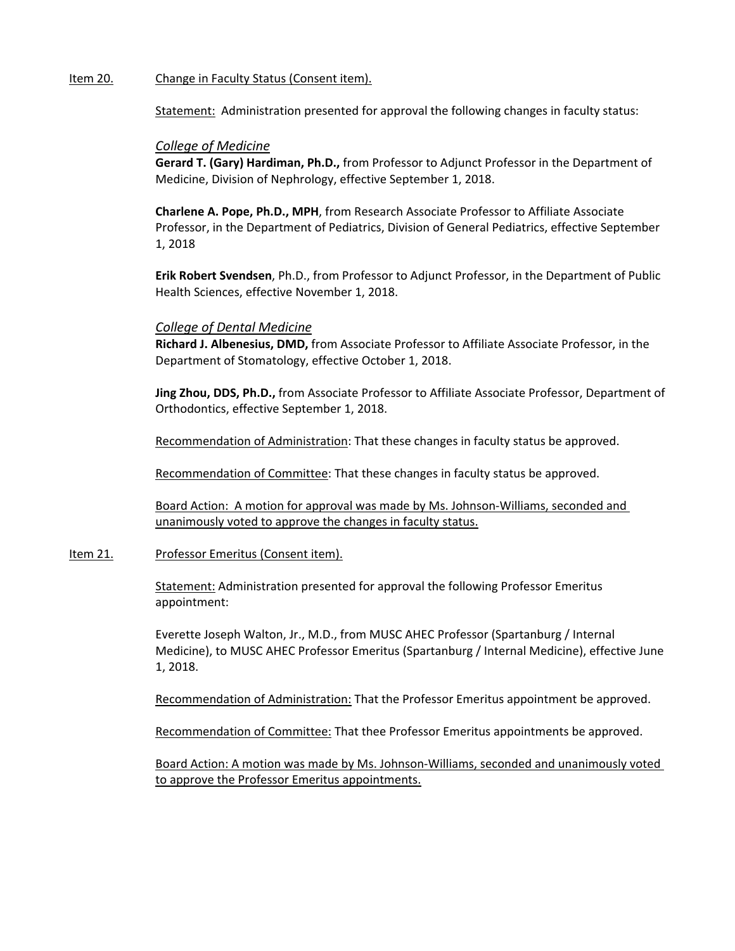### Item 20. Change in Faculty Status (Consent item).

Statement: Administration presented for approval the following changes in faculty status:

### *College of Medicine*

**Gerard T. (Gary) Hardiman, Ph.D.,** from Professor to Adjunct Professor in the Department of Medicine, Division of Nephrology, effective September 1, 2018.

**Charlene A. Pope, Ph.D., MPH**, from Research Associate Professor to Affiliate Associate Professor, in the Department of Pediatrics, Division of General Pediatrics, effective September 1, 2018

**Erik Robert Svendsen**, Ph.D., from Professor to Adjunct Professor, in the Department of Public Health Sciences, effective November 1, 2018.

### *College of Dental Medicine*

**Richard J. Albenesius, DMD,** from Associate Professor to Affiliate Associate Professor, in the Department of Stomatology, effective October 1, 2018.

**Jing Zhou, DDS, Ph.D.,** from Associate Professor to Affiliate Associate Professor, Department of Orthodontics, effective September 1, 2018.

Recommendation of Administration: That these changes in faculty status be approved.

Recommendation of Committee: That these changes in faculty status be approved.

Board Action: A motion for approval was made by Ms. Johnson‐Williams, seconded and unanimously voted to approve the changes in faculty status.

#### Item 21. Professor Emeritus (Consent item).

Statement: Administration presented for approval the following Professor Emeritus appointment:

Everette Joseph Walton, Jr., M.D., from MUSC AHEC Professor (Spartanburg / Internal Medicine), to MUSC AHEC Professor Emeritus (Spartanburg / Internal Medicine), effective June 1, 2018.

Recommendation of Administration: That the Professor Emeritus appointment be approved.

Recommendation of Committee: That thee Professor Emeritus appointments be approved.

Board Action: A motion was made by Ms. Johnson‐Williams, seconded and unanimously voted to approve the Professor Emeritus appointments.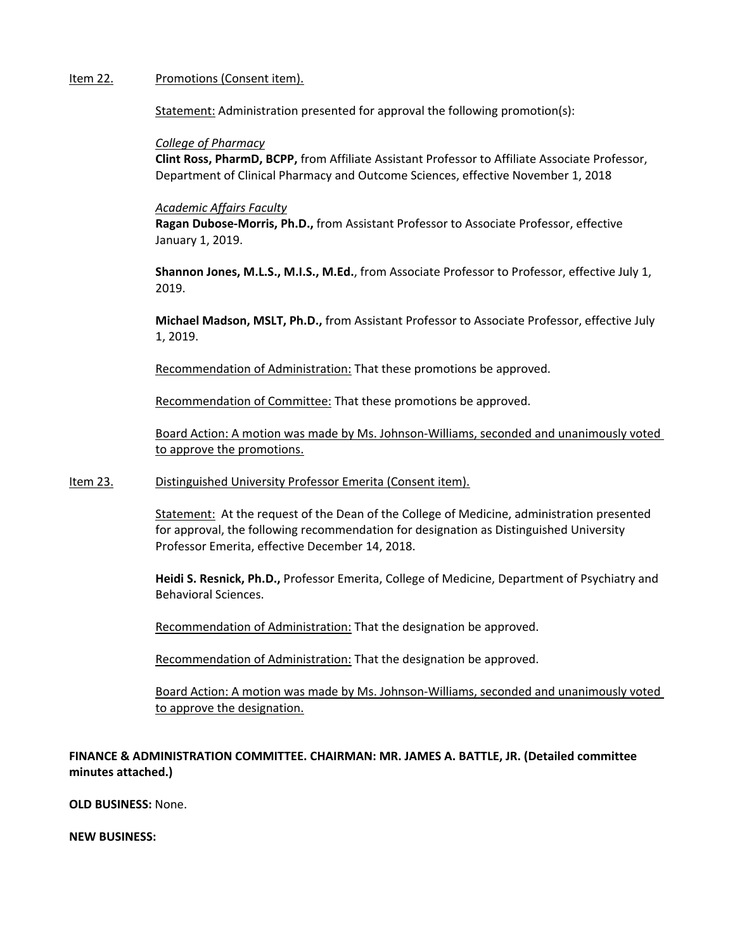#### Item 22. Promotions (Consent item).

Statement: Administration presented for approval the following promotion(s):

#### *College of Pharmacy*

**Clint Ross, PharmD, BCPP,** from Affiliate Assistant Professor to Affiliate Associate Professor, Department of Clinical Pharmacy and Outcome Sciences, effective November 1, 2018

#### *Academic Affairs Faculty*

**Ragan Dubose‐Morris, Ph.D.,** from Assistant Professor to Associate Professor, effective January 1, 2019.

**Shannon Jones, M.L.S., M.I.S., M.Ed.**, from Associate Professor to Professor, effective July 1, 2019.

**Michael Madson, MSLT, Ph.D.,** from Assistant Professor to Associate Professor, effective July 1, 2019.

Recommendation of Administration: That these promotions be approved.

Recommendation of Committee: That these promotions be approved.

Board Action: A motion was made by Ms. Johnson‐Williams, seconded and unanimously voted to approve the promotions.

#### Item 23. Distinguished University Professor Emerita (Consent item).

Statement: At the request of the Dean of the College of Medicine, administration presented for approval, the following recommendation for designation as Distinguished University Professor Emerita, effective December 14, 2018.

**Heidi S. Resnick, Ph.D.,** Professor Emerita, College of Medicine, Department of Psychiatry and Behavioral Sciences.

Recommendation of Administration: That the designation be approved.

Recommendation of Administration: That the designation be approved.

Board Action: A motion was made by Ms. Johnson‐Williams, seconded and unanimously voted to approve the designation.

**FINANCE & ADMINISTRATION COMMITTEE. CHAIRMAN: MR. JAMES A. BATTLE, JR. (Detailed committee minutes attached.)**

**OLD BUSINESS:** None.

**NEW BUSINESS:**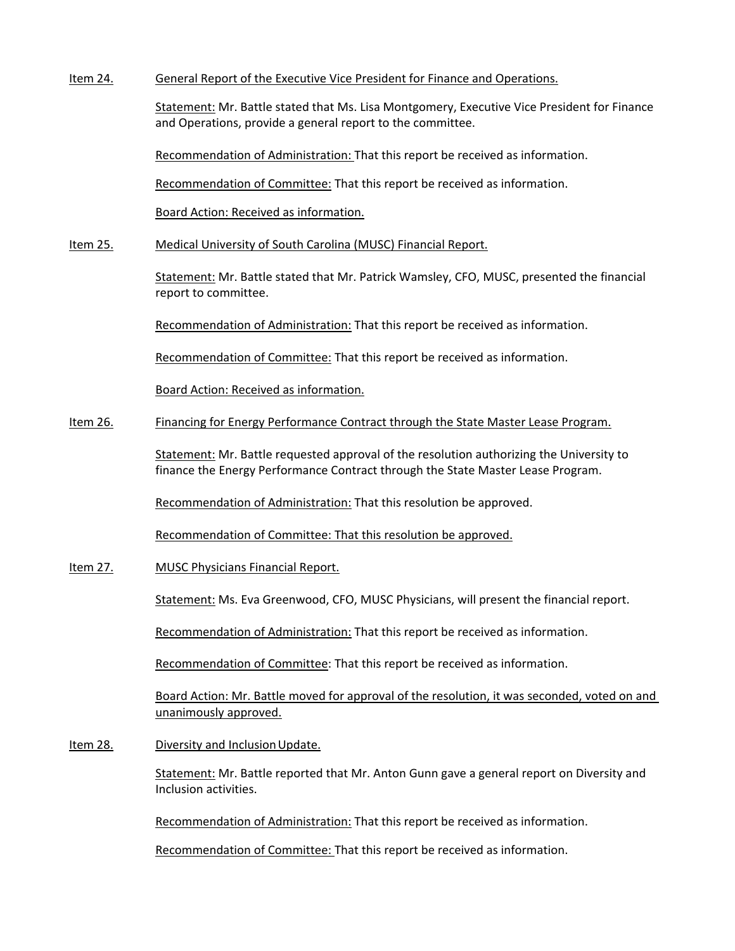Item 24. General Report of the Executive Vice President for Finance and Operations.

Statement: Mr. Battle stated that Ms. Lisa Montgomery, Executive Vice President for Finance and Operations, provide a general report to the committee.

Recommendation of Administration: That this report be received as information.

Recommendation of Committee: That this report be received as information.

Board Action: Received as information.

Item 25. Medical University of South Carolina (MUSC) Financial Report.

Statement: Mr. Battle stated that Mr. Patrick Wamsley, CFO, MUSC, presented the financial report to committee.

Recommendation of Administration: That this report be received as information.

Recommendation of Committee: That this report be received as information.

Board Action: Received as information.

### Item 26. Financing for Energy Performance Contract through the State Master Lease Program.

Statement: Mr. Battle requested approval of the resolution authorizing the University to finance the Energy Performance Contract through the State Master Lease Program.

Recommendation of Administration: That this resolution be approved.

Recommendation of Committee: That this resolution be approved.

Item 27. MUSC Physicians Financial Report.

Statement: Ms. Eva Greenwood, CFO, MUSC Physicians, will present the financial report.

Recommendation of Administration: That this report be received as information.

Recommendation of Committee: That this report be received as information.

Board Action: Mr. Battle moved for approval of the resolution, it was seconded, voted on and unanimously approved.

Item 28. Diversity and Inclusion Update.

Statement: Mr. Battle reported that Mr. Anton Gunn gave a general report on Diversity and Inclusion activities.

Recommendation of Administration: That this report be received as information.

Recommendation of Committee: That this report be received as information.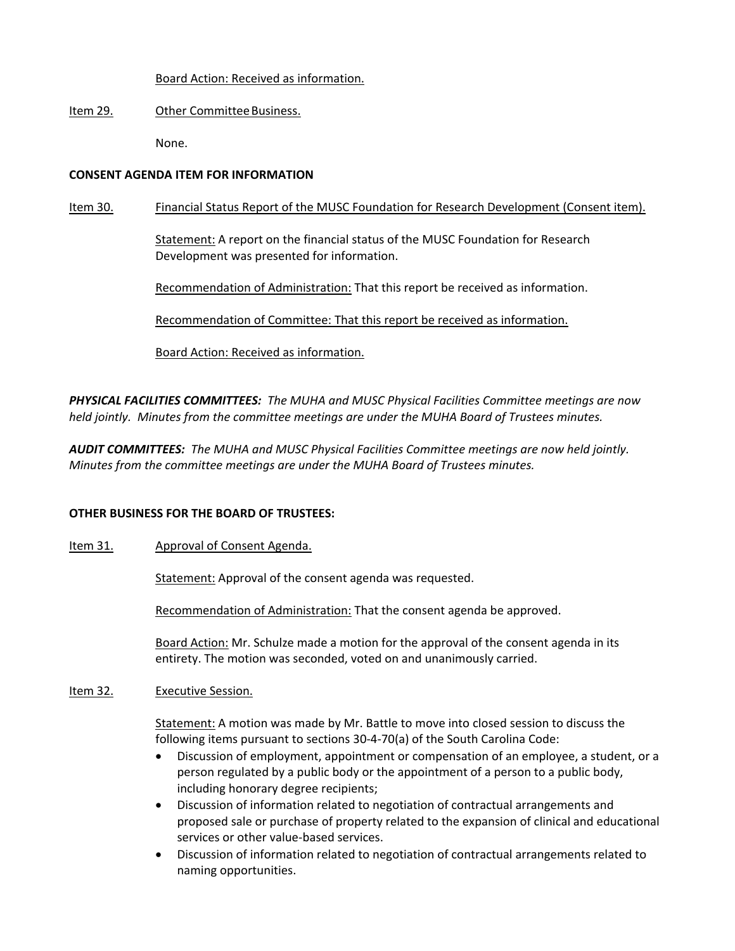## Board Action: Received as information.

# Item 29. Other Committee Business.

None.

# **CONSENT AGENDA ITEM FOR INFORMATION**

# Item 30. Financial Status Report of the MUSC Foundation for Research Development (Consent item).

Statement: A report on the financial status of the MUSC Foundation for Research Development was presented for information.

Recommendation of Administration: That this report be received as information.

Recommendation of Committee: That this report be received as information.

Board Action: Received as information.

*PHYSICAL FACILITIES COMMITTEES: The MUHA and MUSC Physical Facilities Committee meetings are now held jointly. Minutes from the committee meetings are under the MUHA Board of Trustees minutes.*

*AUDIT COMMITTEES: The MUHA and MUSC Physical Facilities Committee meetings are now held jointly. Minutes from the committee meetings are under the MUHA Board of Trustees minutes.*

## **OTHER BUSINESS FOR THE BOARD OF TRUSTEES:**

# Item 31. Approval of Consent Agenda.

Statement: Approval of the consent agenda was requested.

Recommendation of Administration: That the consent agenda be approved.

Board Action: Mr. Schulze made a motion for the approval of the consent agenda in its entirety. The motion was seconded, voted on and unanimously carried.

## Item 32. **Executive Session.**

Statement: A motion was made by Mr. Battle to move into closed session to discuss the following items pursuant to sections 30‐4‐70(a) of the South Carolina Code:

- Discussion of employment, appointment or compensation of an employee, a student, or a person regulated by a public body or the appointment of a person to a public body, including honorary degree recipients;
- Discussion of information related to negotiation of contractual arrangements and proposed sale or purchase of property related to the expansion of clinical and educational services or other value‐based services.
- Discussion of information related to negotiation of contractual arrangements related to naming opportunities.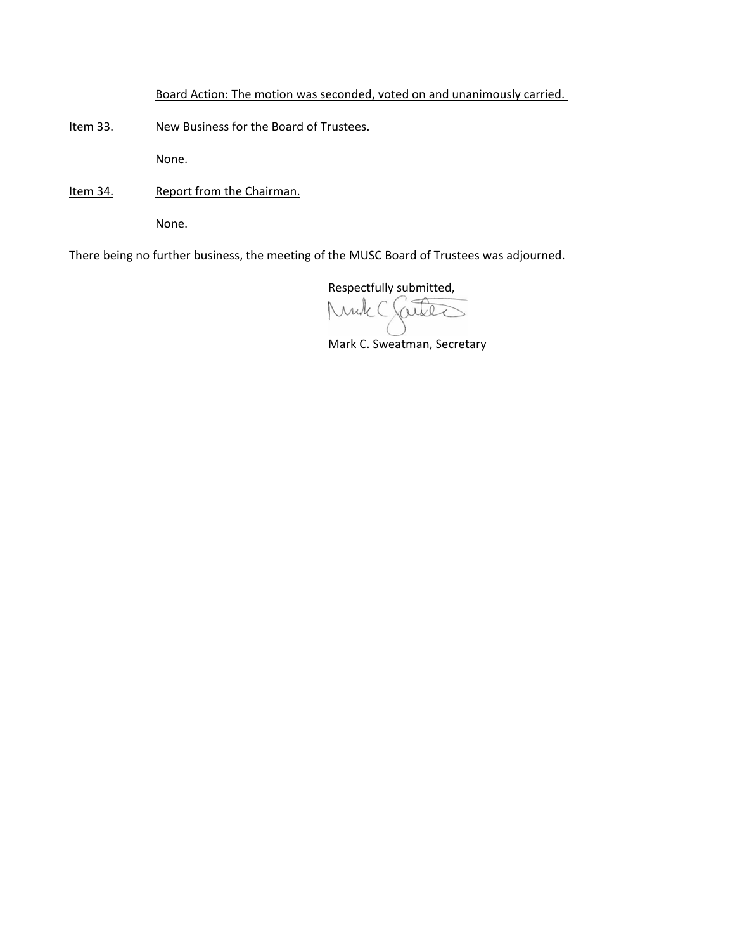Board Action: The motion was seconded, voted on and unanimously carried.

Item 33. New Business for the Board of Trustees.

None.

Item 34. Report from the Chairman.

None.

There being no further business, the meeting of the MUSC Board of Trustees was adjourned.

Respectfully submitted,

ruk (  $\Lambda$  $\Omega$ 

Mark C. Sweatman, Secretary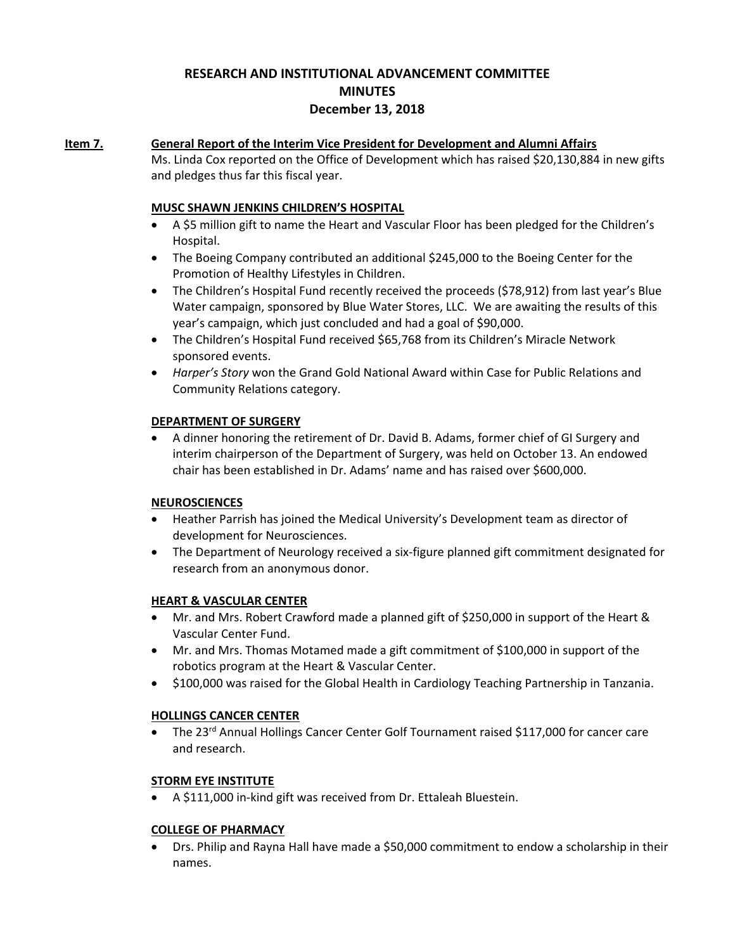# **RESEARCH AND INSTITUTIONAL ADVANCEMENT COMMITTEE MINUTES December 13, 2018**

## **Item 7. General Report of the Interim Vice President for Development and Alumni Affairs**

Ms. Linda Cox reported on the Office of Development which has raised \$20,130,884 in new gifts and pledges thus far this fiscal year.

## **MUSC SHAWN JENKINS CHILDREN'S HOSPITAL**

- A \$5 million gift to name the Heart and Vascular Floor has been pledged for the Children's Hospital.
- The Boeing Company contributed an additional \$245,000 to the Boeing Center for the Promotion of Healthy Lifestyles in Children.
- The Children's Hospital Fund recently received the proceeds (\$78,912) from last year's Blue Water campaign, sponsored by Blue Water Stores, LLC. We are awaiting the results of this year's campaign, which just concluded and had a goal of \$90,000.
- The Children's Hospital Fund received \$65,768 from its Children's Miracle Network sponsored events.
- *Harper's Story* won the Grand Gold National Award within Case for Public Relations and Community Relations category.

## **DEPARTMENT OF SURGERY**

 A dinner honoring the retirement of Dr. David B. Adams, former chief of GI Surgery and interim chairperson of the Department of Surgery, was held on October 13. An endowed chair has been established in Dr. Adams' name and has raised over \$600,000.

## **NEUROSCIENCES**

- Heather Parrish has joined the Medical University's Development team as director of development for Neurosciences.
- The Department of Neurology received a six‐figure planned gift commitment designated for research from an anonymous donor.

## **HEART & VASCULAR CENTER**

- Mr. and Mrs. Robert Crawford made a planned gift of \$250,000 in support of the Heart & Vascular Center Fund.
- Mr. and Mrs. Thomas Motamed made a gift commitment of \$100,000 in support of the robotics program at the Heart & Vascular Center.
- \$100,000 was raised for the Global Health in Cardiology Teaching Partnership in Tanzania.

## **HOLLINGS CANCER CENTER**

• The 23<sup>rd</sup> Annual Hollings Cancer Center Golf Tournament raised \$117,000 for cancer care and research.

## **STORM EYE INSTITUTE**

● A \$111,000 in-kind gift was received from Dr. Ettaleah Bluestein.

## **COLLEGE OF PHARMACY**

 Drs. Philip and Rayna Hall have made a \$50,000 commitment to endow a scholarship in their names.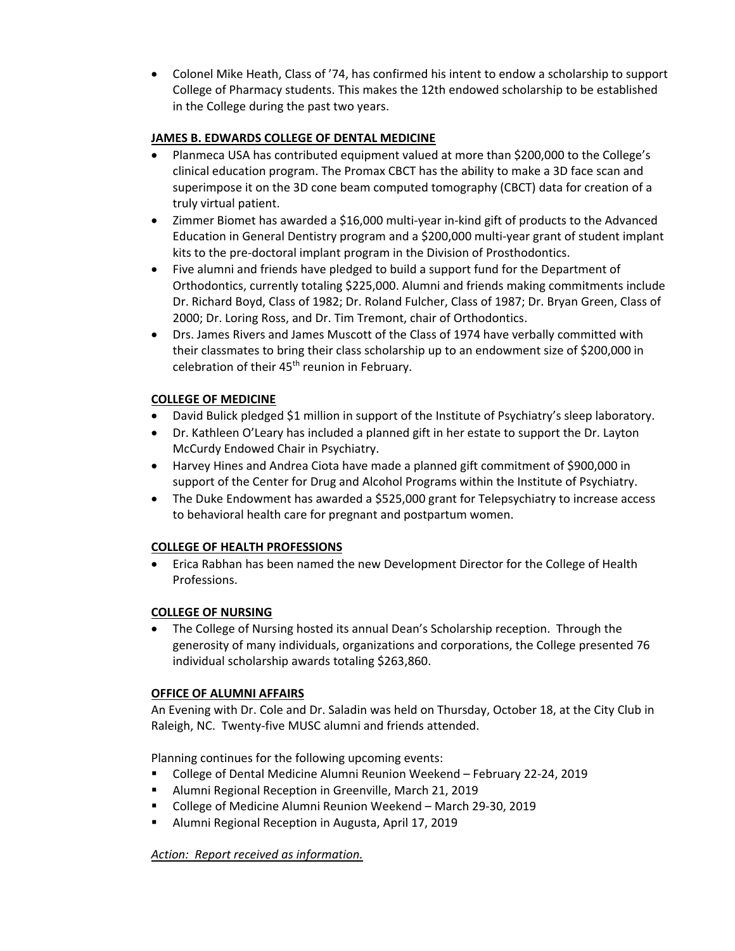Colonel Mike Heath, Class of '74, has confirmed his intent to endow a scholarship to support College of Pharmacy students. This makes the 12th endowed scholarship to be established in the College during the past two years.

## **JAMES B. EDWARDS COLLEGE OF DENTAL MEDICINE**

- Planmeca USA has contributed equipment valued at more than \$200,000 to the College's clinical education program. The Promax CBCT has the ability to make a 3D face scan and superimpose it on the 3D cone beam computed tomography (CBCT) data for creation of a truly virtual patient.
- Zimmer Biomet has awarded a \$16,000 multi‐year in‐kind gift of products to the Advanced Education in General Dentistry program and a \$200,000 multi‐year grant of student implant kits to the pre‐doctoral implant program in the Division of Prosthodontics.
- Five alumni and friends have pledged to build a support fund for the Department of Orthodontics, currently totaling \$225,000. Alumni and friends making commitments include Dr. Richard Boyd, Class of 1982; Dr. Roland Fulcher, Class of 1987; Dr. Bryan Green, Class of 2000; Dr. Loring Ross, and Dr. Tim Tremont, chair of Orthodontics.
- Drs. James Rivers and James Muscott of the Class of 1974 have verbally committed with their classmates to bring their class scholarship up to an endowment size of \$200,000 in celebration of their 45<sup>th</sup> reunion in February.

# **COLLEGE OF MEDICINE**

- David Bulick pledged \$1 million in support of the Institute of Psychiatry's sleep laboratory.
- Dr. Kathleen O'Leary has included a planned gift in her estate to support the Dr. Layton McCurdy Endowed Chair in Psychiatry.
- Harvey Hines and Andrea Ciota have made a planned gift commitment of \$900,000 in support of the Center for Drug and Alcohol Programs within the Institute of Psychiatry.
- The Duke Endowment has awarded a \$525,000 grant for Telepsychiatry to increase access to behavioral health care for pregnant and postpartum women.

## **COLLEGE OF HEALTH PROFESSIONS**

 Erica Rabhan has been named the new Development Director for the College of Health Professions.

# **COLLEGE OF NURSING**

 The College of Nursing hosted its annual Dean's Scholarship reception. Through the generosity of many individuals, organizations and corporations, the College presented 76 individual scholarship awards totaling \$263,860.

## **OFFICE OF ALUMNI AFFAIRS**

An Evening with Dr. Cole and Dr. Saladin was held on Thursday, October 18, at the City Club in Raleigh, NC. Twenty‐five MUSC alumni and friends attended.

Planning continues for the following upcoming events:

- College of Dental Medicine Alumni Reunion Weekend February 22-24, 2019
- **Alumni Regional Reception in Greenville, March 21, 2019**
- College of Medicine Alumni Reunion Weekend March 29-30, 2019
- Alumni Regional Reception in Augusta, April 17, 2019

*Action: Report received as information.*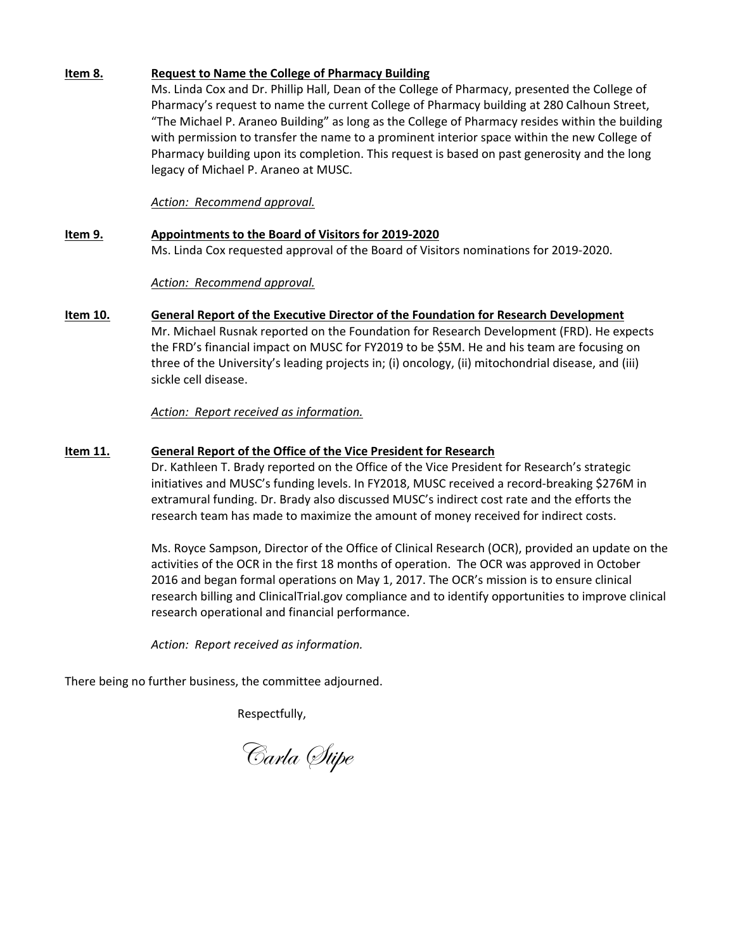## **Item 8. Request to Name the College of Pharmacy Building**

Ms. Linda Cox and Dr. Phillip Hall, Dean of the College of Pharmacy, presented the College of Pharmacy's request to name the current College of Pharmacy building at 280 Calhoun Street, "The Michael P. Araneo Building" as long as the College of Pharmacy resides within the building with permission to transfer the name to a prominent interior space within the new College of Pharmacy building upon its completion. This request is based on past generosity and the long legacy of Michael P. Araneo at MUSC.

*Action: Recommend approval.*

# **Item 9. Appointments to the Board of Visitors for 2019‐2020** Ms. Linda Cox requested approval of the Board of Visitors nominations for 2019‐2020.

*Action: Recommend approval.* 

**Item 10. General Report of the Executive Director of the Foundation for Research Development** Mr. Michael Rusnak reported on the Foundation for Research Development (FRD). He expects the FRD's financial impact on MUSC for FY2019 to be \$5M. He and his team are focusing on three of the University's leading projects in; (i) oncology, (ii) mitochondrial disease, and (iii) sickle cell disease.

*Action: Report received as information.*

## **Item 11. General Report of the Office of the Vice President for Research**

Dr. Kathleen T. Brady reported on the Office of the Vice President for Research's strategic initiatives and MUSC's funding levels. In FY2018, MUSC received a record‐breaking \$276M in extramural funding. Dr. Brady also discussed MUSC's indirect cost rate and the efforts the research team has made to maximize the amount of money received for indirect costs.

Ms. Royce Sampson, Director of the Office of Clinical Research (OCR), provided an update on the activities of the OCR in the first 18 months of operation. The OCR was approved in October 2016 and began formal operations on May 1, 2017. The OCR's mission is to ensure clinical research billing and ClinicalTrial.gov compliance and to identify opportunities to improve clinical research operational and financial performance.

*Action: Report received as information.*

There being no further business, the committee adjourned.

Respectfully,

Carla Stipe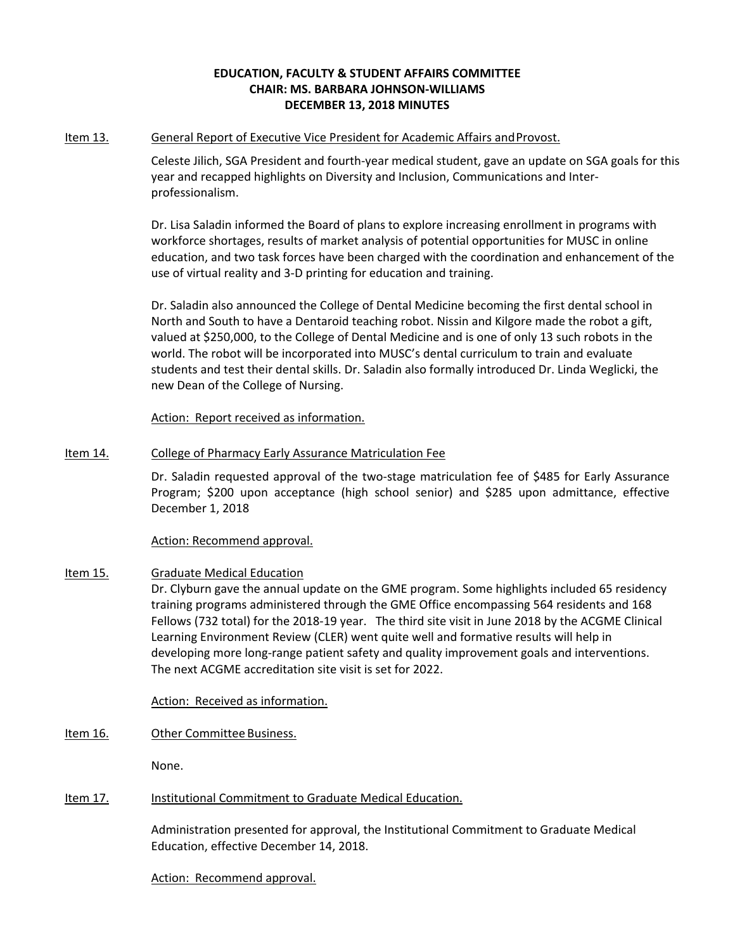## **EDUCATION, FACULTY & STUDENT AFFAIRS COMMITTEE CHAIR: MS. BARBARA JOHNSON‐WILLIAMS DECEMBER 13, 2018 MINUTES**

### Item 13. General Report of Executive Vice President for Academic Affairs and Provost.

Celeste Jilich, SGA President and fourth‐year medical student, gave an update on SGA goals for this year and recapped highlights on Diversity and Inclusion, Communications and Inter‐ professionalism.

Dr. Lisa Saladin informed the Board of plans to explore increasing enrollment in programs with workforce shortages, results of market analysis of potential opportunities for MUSC in online education, and two task forces have been charged with the coordination and enhancement of the use of virtual reality and 3‐D printing for education and training.

Dr. Saladin also announced the College of Dental Medicine becoming the first dental school in North and South to have a Dentaroid teaching robot. Nissin and Kilgore made the robot a gift, valued at \$250,000, to the College of Dental Medicine and is one of only 13 such robots in the world. The robot will be incorporated into MUSC's dental curriculum to train and evaluate students and test their dental skills. Dr. Saladin also formally introduced Dr. Linda Weglicki, the new Dean of the College of Nursing.

Action: Report received as information.

## Item 14. College of Pharmacy Early Assurance Matriculation Fee

Dr. Saladin requested approval of the two‐stage matriculation fee of \$485 for Early Assurance Program; \$200 upon acceptance (high school senior) and \$285 upon admittance, effective December 1, 2018

## Action: Recommend approval.

## Item 15. Graduate Medical Education

Dr. Clyburn gave the annual update on the GME program. Some highlights included 65 residency training programs administered through the GME Office encompassing 564 residents and 168 Fellows (732 total) for the 2018‐19 year. The third site visit in June 2018 by the ACGME Clinical Learning Environment Review (CLER) went quite well and formative results will help in developing more long-range patient safety and quality improvement goals and interventions. The next ACGME accreditation site visit is set for 2022.

Action: Received as information.

Item 16. Other Committee Business.

None.

## Item 17. Institutional Commitment to Graduate Medical Education.

Administration presented for approval, the Institutional Commitment to Graduate Medical Education, effective December 14, 2018.

Action: Recommend approval.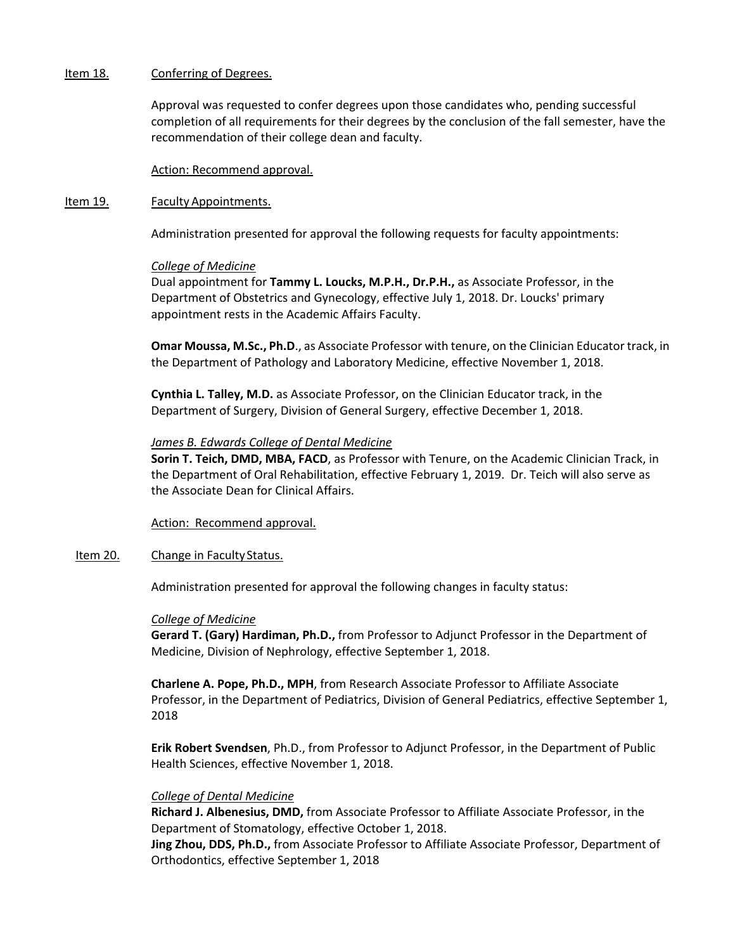#### Item 18. Conferring of Degrees.

Approval was requested to confer degrees upon those candidates who, pending successful completion of all requirements for their degrees by the conclusion of the fall semester, have the recommendation of their college dean and faculty.

Action: Recommend approval.

#### Item 19. Faculty Appointments.

Administration presented for approval the following requests for faculty appointments:

### *College of Medicine*

Dual appointment for **Tammy L. Loucks, M.P.H., Dr.P.H.,** as Associate Professor, in the Department of Obstetrics and Gynecology, effective July 1, 2018. Dr. Loucks' primary appointment rests in the Academic Affairs Faculty.

**Omar Moussa, M.Sc., Ph.D**., as Associate Professor with tenure, on the Clinician Educator track, in the Department of Pathology and Laboratory Medicine, effective November 1, 2018.

**Cynthia L. Talley, M.D.** as Associate Professor, on the Clinician Educator track, in the Department of Surgery, Division of General Surgery, effective December 1, 2018.

### *James B. Edwards College of Dental Medicine*

**Sorin T. Teich, DMD, MBA, FACD**, as Professor with Tenure, on the Academic Clinician Track, in the Department of Oral Rehabilitation, effective February 1, 2019. Dr. Teich will also serve as the Associate Dean for Clinical Affairs.

Action: Recommend approval.

#### Item 20. Change in Faculty Status.

Administration presented for approval the following changes in faculty status:

#### *College of Medicine*

**Gerard T. (Gary) Hardiman, Ph.D.,** from Professor to Adjunct Professor in the Department of Medicine, Division of Nephrology, effective September 1, 2018.

**Charlene A. Pope, Ph.D., MPH**, from Research Associate Professor to Affiliate Associate Professor, in the Department of Pediatrics, Division of General Pediatrics, effective September 1, 2018

**Erik Robert Svendsen**, Ph.D., from Professor to Adjunct Professor, in the Department of Public Health Sciences, effective November 1, 2018.

## *College of Dental Medicine*

**Richard J. Albenesius, DMD,** from Associate Professor to Affiliate Associate Professor, in the Department of Stomatology, effective October 1, 2018.

**Jing Zhou, DDS, Ph.D.,** from Associate Professor to Affiliate Associate Professor, Department of Orthodontics, effective September 1, 2018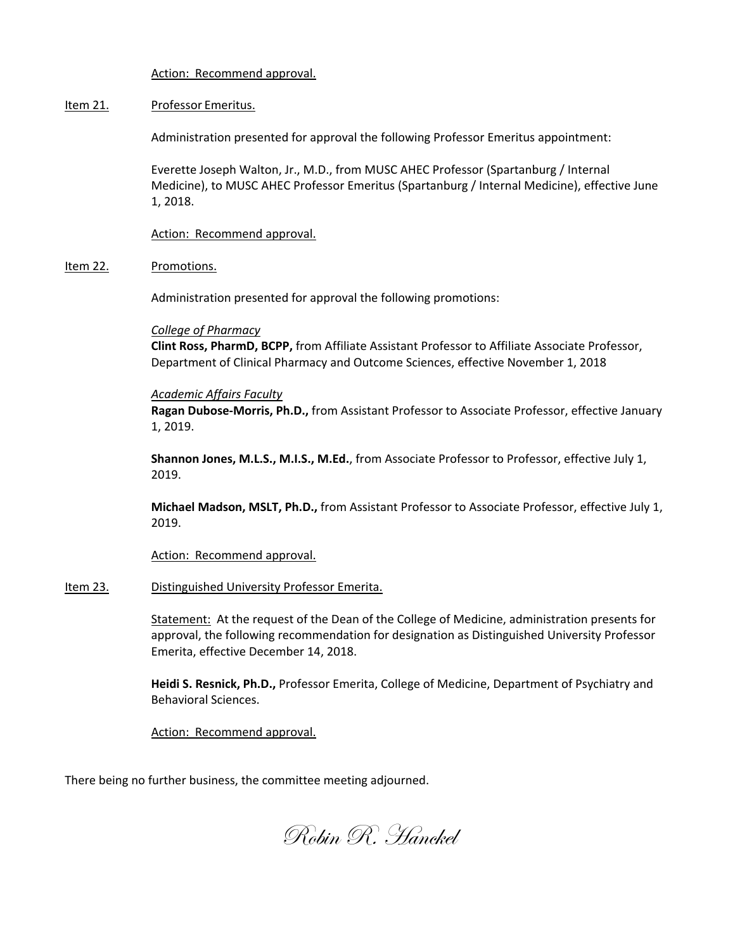Action: Recommend approval.

### Item 21. Professor Emeritus.

Administration presented for approval the following Professor Emeritus appointment:

Everette Joseph Walton, Jr., M.D., from MUSC AHEC Professor (Spartanburg / Internal Medicine), to MUSC AHEC Professor Emeritus (Spartanburg / Internal Medicine), effective June 1, 2018.

Action: Recommend approval.

### Item 22. Promotions.

Administration presented for approval the following promotions:

### *College of Pharmacy*

**Clint Ross, PharmD, BCPP,** from Affiliate Assistant Professor to Affiliate Associate Professor, Department of Clinical Pharmacy and Outcome Sciences, effective November 1, 2018

### *Academic Affairs Faculty*

**Ragan Dubose‐Morris, Ph.D.,** from Assistant Professor to Associate Professor, effective January 1, 2019.

**Shannon Jones, M.L.S., M.I.S., M.Ed.**, from Associate Professor to Professor, effective July 1, 2019.

**Michael Madson, MSLT, Ph.D.,** from Assistant Professor to Associate Professor, effective July 1, 2019.

Action: Recommend approval.

## Item 23. Distinguished University Professor Emerita.

Statement: At the request of the Dean of the College of Medicine, administration presents for approval, the following recommendation for designation as Distinguished University Professor Emerita, effective December 14, 2018.

**Heidi S. Resnick, Ph.D.,** Professor Emerita, College of Medicine, Department of Psychiatry and Behavioral Sciences.

Action: Recommend approval.

There being no further business, the committee meeting adjourned.

Robin R. Hanckel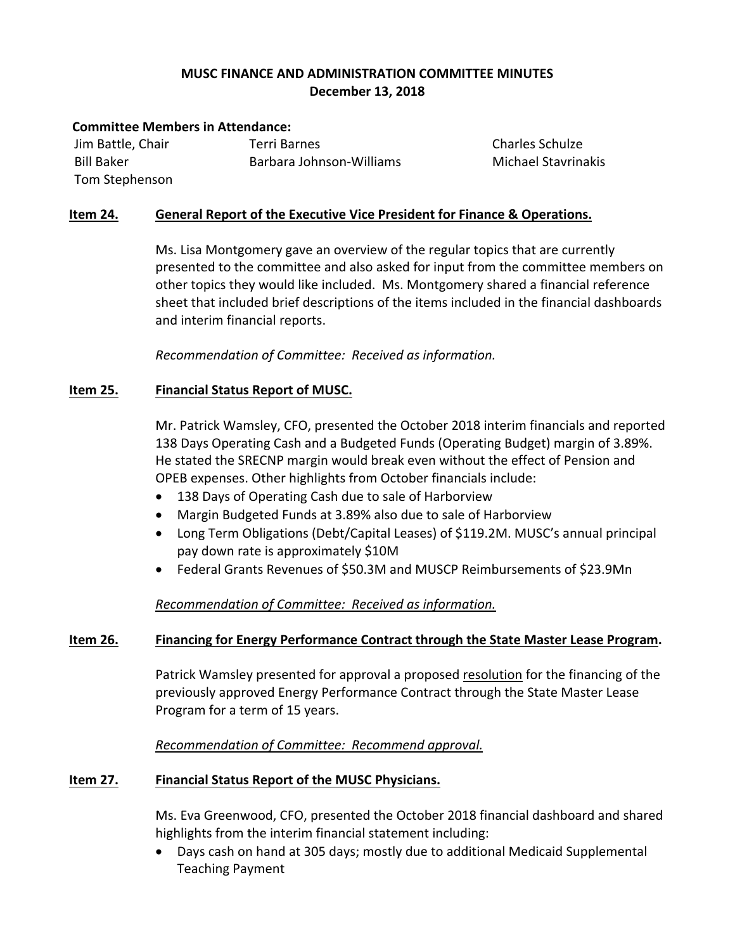# **MUSC FINANCE AND ADMINISTRATION COMMITTEE MINUTES December 13, 2018**

## **Committee Members in Attendance:**

Jim Battle, Chair Bill Baker Tom Stephenson Terri Barnes Barbara Johnson‐Williams Charles Schulze Michael Stavrinakis

# **Item 24. General Report of the Executive Vice President for Finance & Operations.**

Ms. Lisa Montgomery gave an overview of the regular topics that are currently presented to the committee and also asked for input from the committee members on other topics they would like included. Ms. Montgomery shared a financial reference sheet that included brief descriptions of the items included in the financial dashboards and interim financial reports.

 *Recommendation of Committee: Received as information.*

# **Item 25. Financial Status Report of MUSC.**

Mr. Patrick Wamsley, CFO, presented the October 2018 interim financials and reported 138 Days Operating Cash and a Budgeted Funds (Operating Budget) margin of 3.89%. He stated the SRECNP margin would break even without the effect of Pension and OPEB expenses. Other highlights from October financials include:

- 138 Days of Operating Cash due to sale of Harborview
- Margin Budgeted Funds at 3.89% also due to sale of Harborview
- Long Term Obligations (Debt/Capital Leases) of \$119.2M. MUSC's annual principal pay down rate is approximately \$10M
- Federal Grants Revenues of \$50.3M and MUSCP Reimbursements of \$23.9Mn

# *Recommendation of Committee: Received as information.*

# **Item 26. Financing for Energy Performance Contract through the State Master Lease Program.**

Patrick Wamsley presented for approval a proposed resolution for the financing of the previously approved Energy Performance Contract through the State Master Lease Program for a term of 15 years.

*Recommendation of Committee: Recommend approval.*

# **Item 27. Financial Status Report of the MUSC Physicians.**

Ms. Eva Greenwood, CFO, presented the October 2018 financial dashboard and shared highlights from the interim financial statement including:

 Days cash on hand at 305 days; mostly due to additional Medicaid Supplemental Teaching Payment